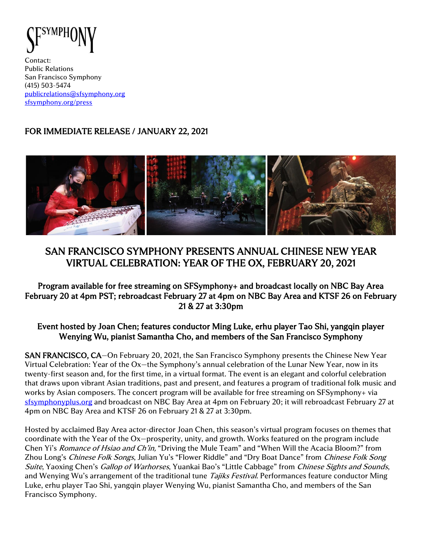

Contact: Public Relations San Francisco Symphony (415) 503-5474 [publicrelations@sfsymphony.org](mailto:publicrelations@sfsymphony.org) [sfsymphony.org/press](http://sfsymphony.org/press)

## FOR IMMEDIATE RELEASE / JANUARY 22, 2021



# SAN FRANCISCO SYMPHONY PRESENTS ANNUAL CHINESE NEW YEAR VIRTUAL CELEBRATION: YEAR OF THE OX, FEBRUARY 20, 2021

## Program available for free streaming on SFSymphony+ and broadcast locally on NBC Bay Area February 20 at 4pm PST; rebroadcast February 27 at 4pm on NBC Bay Area and KTSF 26 on February 21 & 27 at 3:30pm

### Event hosted by Joan Chen; features conductor Ming Luke, erhu player Tao Shi, yangqin player Wenying Wu, pianist Samantha Cho, and members of the San Francisco Symphony

SAN FRANCISCO, CA—On February 20, 2021, the San Francisco Symphony presents the Chinese New Year Virtual Celebration: Year of the Ox—the Symphony's annual celebration of the Lunar New Year, now in its twenty-first season and, for the first time, in a virtual format. The event is an elegant and colorful celebration that draws upon vibrant Asian traditions, past and present, and features a program of traditional folk music and works by Asian composers. The concert program will be available for free streaming on SFSymphony+ via [sfsymphonyplus.org](https://www.sfsymphonyplus.org/) and broadcast on NBC Bay Area at 4pm on February 20; it will rebroadcast February 27 at 4pm on NBC Bay Area and KTSF 26 on February 21 & 27 at 3:30pm.

Hosted by acclaimed Bay Area actor-director Joan Chen, this season's virtual program focuses on themes that coordinate with the Year of the Ox—prosperity, unity, and growth. Works featured on the program include Chen Yi's *Romance of Hsiao and Ch'in*, "Driving the Mule Team" and "When Will the Acacia Bloom?" from Zhou Long's Chinese Folk Songs, Julian Yu's "Flower Riddle" and "Dry Boat Dance" from Chinese Folk Song Suite, Yaoxing Chen's Gallop of Warhorses, Yuankai Bao's "Little Cabbage" from Chinese Sights and Sounds, and Wenying Wu's arrangement of the traditional tune *Tajiks Festival*. Performances feature conductor Ming Luke, erhu player Tao Shi, yangqin player Wenying Wu, pianist Samantha Cho, and members of the San Francisco Symphony.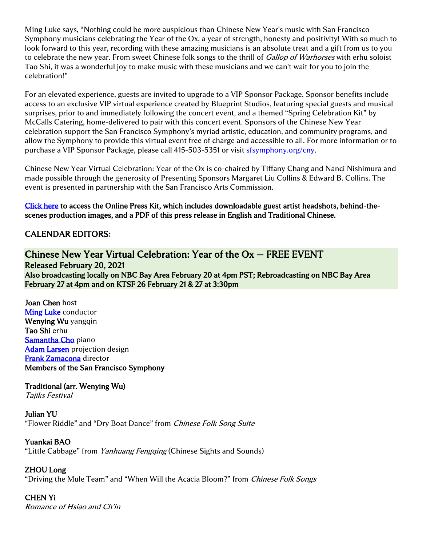Ming Luke says, "Nothing could be more auspicious than Chinese New Year's music with San Francisco Symphony musicians celebrating the Year of the Ox, a year of strength, honesty and positivity! With so much to look forward to this year, recording with these amazing musicians is an absolute treat and a gift from us to you to celebrate the new year. From sweet Chinese folk songs to the thrill of Gallop of Warhorses with erhu soloist Tao Shi, it was a wonderful joy to make music with these musicians and we can't wait for you to join the celebration!"

For an elevated experience, guests are invited to upgrade to a VIP Sponsor Package. Sponsor benefits include access to an exclusive VIP virtual experience created by Blueprint Studios, featuring special guests and musical surprises, prior to and immediately following the concert event, and a themed "Spring Celebration Kit" by McCalls Catering, home-delivered to pair with this concert event. Sponsors of the Chinese New Year celebration support the San Francisco Symphony's myriad artistic, education, and community programs, and allow the Symphony to provide this virtual event free of charge and accessible to all. For more information or to purchase a VIP Sponsor Package, please call 415-503-5351 or visit **sfsymphony.org/cny**.

Chinese New Year Virtual Celebration: Year of the Ox is co-chaired by Tiffany Chang and Nanci Nishimura and made possible through the generosity of Presenting Sponsors Margaret Liu Collins & Edward B. Collins. The event is presented in partnership with the San Francisco Arts Commission.

[Click here](https://www.sfsymphony.org/About-SFS/Press-Room/Press-Kits/Chinese-New-Year-2021) to access the Online Press Kit, which includes downloadable guest artist headshots, behind-thescenes production images, and a PDF of this press release in English and Traditional Chinese.

## CALENDAR EDITORS**:**

### Chinese New Year Virtual Celebration: Year of the Ox — FREE EVENT Released February 20, 2021 Also broadcasting locally on NBC Bay Area February 20 at 4pm PST; Rebroadcasting on NBC Bay Area February 27 at 4pm and on KTSF 26 February 21 & 27 at 3:30pm

Joan Chen host [Ming Luke](http://www.mingluke.com/biography.html) conductor Wenying Wu yangqin Tao Shi erhu [Samantha Cho](https://www.samanthacho.com/bio) piano [Adam Larsen](https://www.hum-bar.com/about/) projection design [Frank Zamacona](https://www.zamacona-productions.com/bio.html) director Members of the San Francisco Symphony

Traditional (arr. Wenying Wu) Tajiks Festival

Julian YU "Flower Riddle" and "Dry Boat Dance" from Chinese Folk Song Suite

### Yuankai BAO

"Little Cabbage" from Yanhuang Fengqing (Chinese Sights and Sounds)

### ZHOU Long

"Driving the Mule Team" and "When Will the Acacia Bloom?" from *Chinese Folk Songs* 

## CHEN Yi

Romance of Hsiao and Ch'in